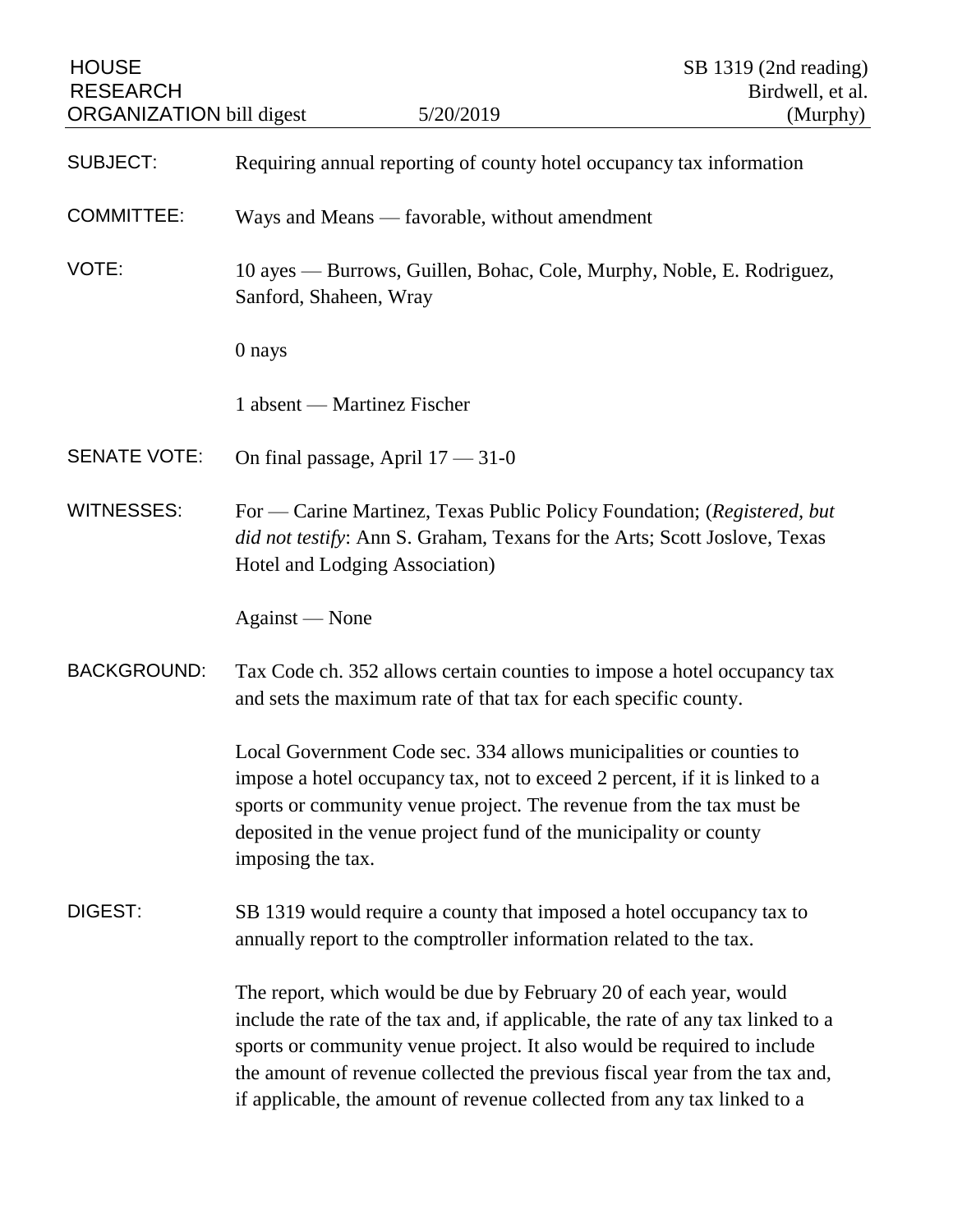| <b>HOUSE</b><br><b>RESEARCH</b><br><b>ORGANIZATION</b> bill digest | 5/20/2019                                                                                                                                                                                                                                                                                                                                                                                | SB 1319 (2nd reading)<br>Birdwell, et al.<br>(Murphy) |
|--------------------------------------------------------------------|------------------------------------------------------------------------------------------------------------------------------------------------------------------------------------------------------------------------------------------------------------------------------------------------------------------------------------------------------------------------------------------|-------------------------------------------------------|
| <b>SUBJECT:</b>                                                    | Requiring annual reporting of county hotel occupancy tax information                                                                                                                                                                                                                                                                                                                     |                                                       |
| <b>COMMITTEE:</b>                                                  | Ways and Means — favorable, without amendment                                                                                                                                                                                                                                                                                                                                            |                                                       |
| VOTE:                                                              | 10 ayes — Burrows, Guillen, Bohac, Cole, Murphy, Noble, E. Rodriguez,<br>Sanford, Shaheen, Wray                                                                                                                                                                                                                                                                                          |                                                       |
|                                                                    | 0 nays                                                                                                                                                                                                                                                                                                                                                                                   |                                                       |
|                                                                    | 1 absent — Martinez Fischer                                                                                                                                                                                                                                                                                                                                                              |                                                       |
| <b>SENATE VOTE:</b>                                                | On final passage, April $17 - 31 - 0$                                                                                                                                                                                                                                                                                                                                                    |                                                       |
| <b>WITNESSES:</b>                                                  | For — Carine Martinez, Texas Public Policy Foundation; (Registered, but<br>did not testify: Ann S. Graham, Texans for the Arts; Scott Joslove, Texas<br>Hotel and Lodging Association)                                                                                                                                                                                                   |                                                       |
|                                                                    | Against — None                                                                                                                                                                                                                                                                                                                                                                           |                                                       |
| <b>BACKGROUND:</b>                                                 | Tax Code ch. 352 allows certain counties to impose a hotel occupancy tax<br>and sets the maximum rate of that tax for each specific county.                                                                                                                                                                                                                                              |                                                       |
|                                                                    | Local Government Code sec. 334 allows municipalities or counties to<br>impose a hotel occupancy tax, not to exceed 2 percent, if it is linked to a<br>sports or community venue project. The revenue from the tax must be<br>deposited in the venue project fund of the municipality or county<br>imposing the tax.                                                                      |                                                       |
| DIGEST:                                                            | SB 1319 would require a county that imposed a hotel occupancy tax to<br>annually report to the comptroller information related to the tax.                                                                                                                                                                                                                                               |                                                       |
|                                                                    | The report, which would be due by February 20 of each year, would<br>include the rate of the tax and, if applicable, the rate of any tax linked to a<br>sports or community venue project. It also would be required to include<br>the amount of revenue collected the previous fiscal year from the tax and,<br>if applicable, the amount of revenue collected from any tax linked to a |                                                       |